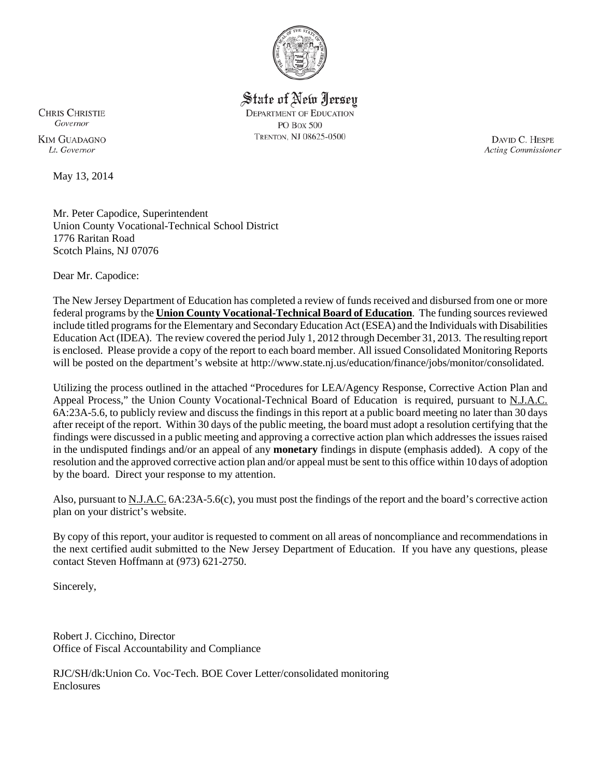

State of New Jersey **DEPARTMENT OF EDUCATION PO Box 500** TRENTON, NJ 08625-0500

**CHRIS CHRISTIE** Governor **KIM GUADAGNO** Lt Governor

May 13, 2014

DAVID C. HESPE **Acting Commissioner** 

Mr. Peter Capodice, Superintendent Union County Vocational-Technical School District 1776 Raritan Road Scotch Plains, NJ 07076

Dear Mr. Capodice:

The New Jersey Department of Education has completed a review of funds received and disbursed from one or more federal programs by the **Union County Vocational-Technical Board of Education**. The funding sources reviewed include titled programs for the Elementary and Secondary Education Act (ESEA) and the Individuals with Disabilities Education Act (IDEA). The review covered the period July 1, 2012 through December 31, 2013. The resulting report is enclosed. Please provide a copy of the report to each board member. All issued Consolidated Monitoring Reports will be posted on the department's website at http://www.state.nj.us/education/finance/jobs/monitor/consolidated.

Utilizing the process outlined in the attached "Procedures for LEA/Agency Response, Corrective Action Plan and Appeal Process," the Union County Vocational-Technical Board of Education is required, pursuant to N.J.A.C. 6A:23A-5.6, to publicly review and discuss the findings in this report at a public board meeting no later than 30 days after receipt of the report. Within 30 days of the public meeting, the board must adopt a resolution certifying that the findings were discussed in a public meeting and approving a corrective action plan which addresses the issues raised in the undisputed findings and/or an appeal of any **monetary** findings in dispute (emphasis added). A copy of the resolution and the approved corrective action plan and/or appeal must be sent to this office within 10 days of adoption by the board. Direct your response to my attention.

Also, pursuant to N.J.A.C. 6A:23A-5.6(c), you must post the findings of the report and the board's corrective action plan on your district's website.

By copy of this report, your auditor is requested to comment on all areas of noncompliance and recommendations in the next certified audit submitted to the New Jersey Department of Education. If you have any questions, please contact Steven Hoffmann at (973) 621-2750.

Sincerely,

Robert J. Cicchino, Director Office of Fiscal Accountability and Compliance

RJC/SH/dk:Union Co. Voc-Tech. BOE Cover Letter/consolidated monitoring Enclosures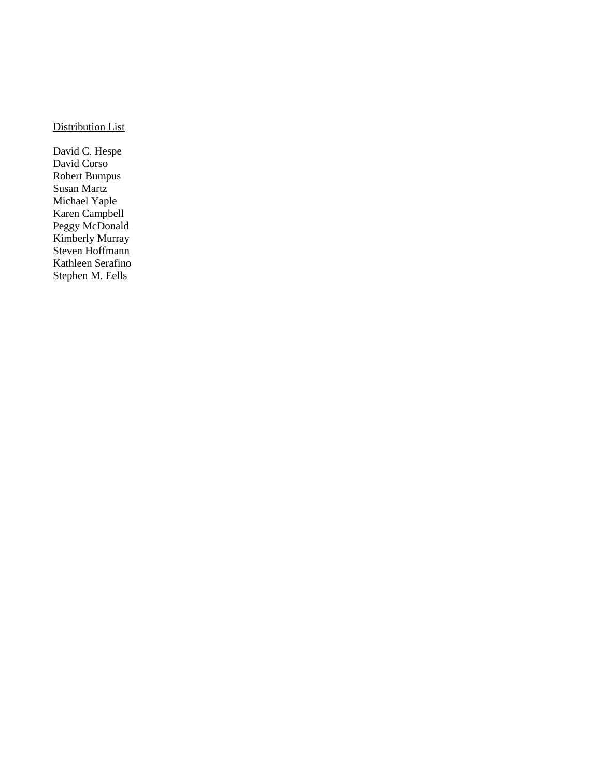# Distribution List

David C. Hespe David Corso Robert Bumpus Susan Martz Michael Yaple Karen Campbell Peggy McDonald Kimberly Murray Steven Hoffmann Kathleen Serafino Stephen M. Eells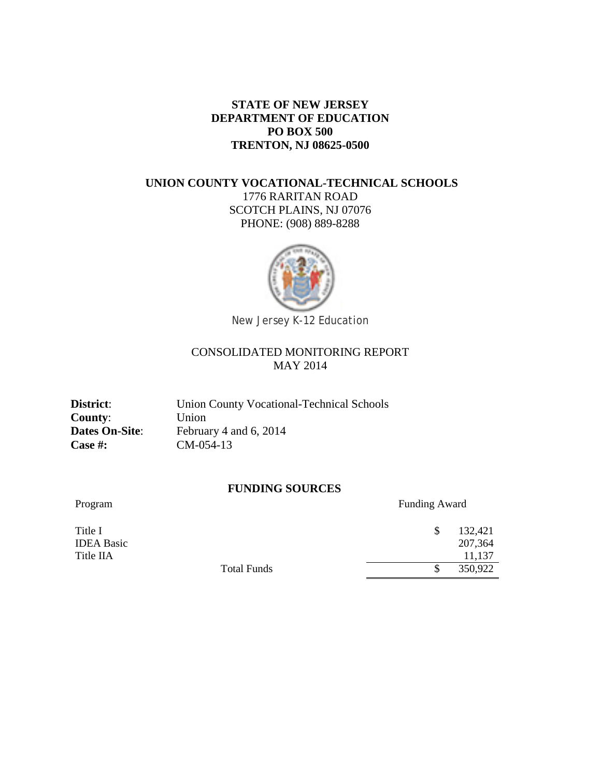### **STATE OF NEW JERSEY DEPARTMENT OF EDUCATION PO BOX 500 TRENTON, NJ 08625-0500**

## **UNION COUNTY VOCATIONAL-TECHNICAL SCHOOLS** 1776 RARITAN ROAD SCOTCH PLAINS, NJ 07076 PHONE: (908) 889-8288



# CONSOLIDATED MONITORING REPORT MAY 2014

**County**: Union **Case #:** CM-054-13

District: Union County Vocational-Technical Schools **Dates On-Site:** February 4 and 6, 2014

### **FUNDING SOURCES**

Program Funding Award

| Title I           |                    | 132,421 |
|-------------------|--------------------|---------|
| <b>IDEA Basic</b> |                    | 207,364 |
| Title IIA         |                    | 11,137  |
|                   | <b>Total Funds</b> | 350,922 |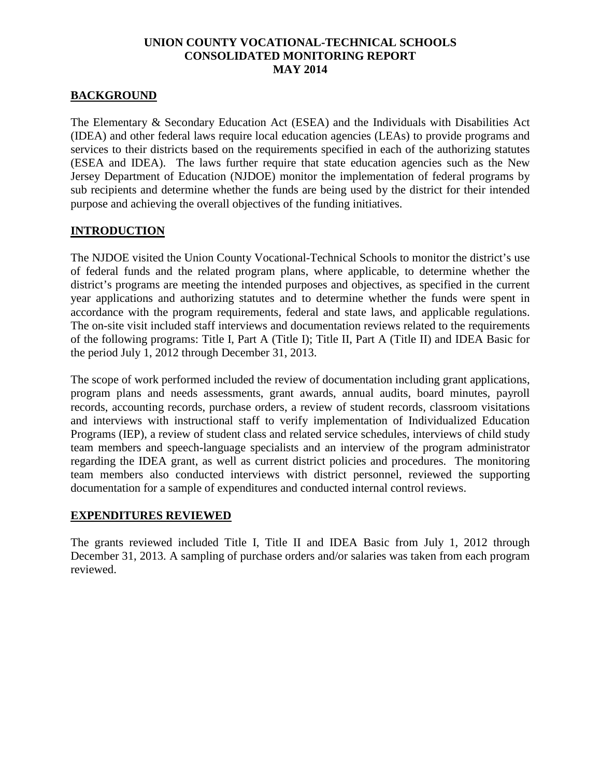## **BACKGROUND**

The Elementary & Secondary Education Act (ESEA) and the Individuals with Disabilities Act (IDEA) and other federal laws require local education agencies (LEAs) to provide programs and services to their districts based on the requirements specified in each of the authorizing statutes (ESEA and IDEA). The laws further require that state education agencies such as the New Jersey Department of Education (NJDOE) monitor the implementation of federal programs by sub recipients and determine whether the funds are being used by the district for their intended purpose and achieving the overall objectives of the funding initiatives.

### **INTRODUCTION**

The NJDOE visited the Union County Vocational-Technical Schools to monitor the district's use of federal funds and the related program plans, where applicable, to determine whether the district's programs are meeting the intended purposes and objectives, as specified in the current year applications and authorizing statutes and to determine whether the funds were spent in accordance with the program requirements, federal and state laws, and applicable regulations. The on-site visit included staff interviews and documentation reviews related to the requirements of the following programs: Title I, Part A (Title I); Title II, Part A (Title II) and IDEA Basic for the period July 1, 2012 through December 31, 2013.

The scope of work performed included the review of documentation including grant applications, program plans and needs assessments, grant awards, annual audits, board minutes, payroll records, accounting records, purchase orders, a review of student records, classroom visitations and interviews with instructional staff to verify implementation of Individualized Education Programs (IEP), a review of student class and related service schedules, interviews of child study team members and speech-language specialists and an interview of the program administrator regarding the IDEA grant, as well as current district policies and procedures. The monitoring team members also conducted interviews with district personnel, reviewed the supporting documentation for a sample of expenditures and conducted internal control reviews.

## **EXPENDITURES REVIEWED**

The grants reviewed included Title I, Title II and IDEA Basic from July 1, 2012 through December 31, 2013. A sampling of purchase orders and/or salaries was taken from each program reviewed.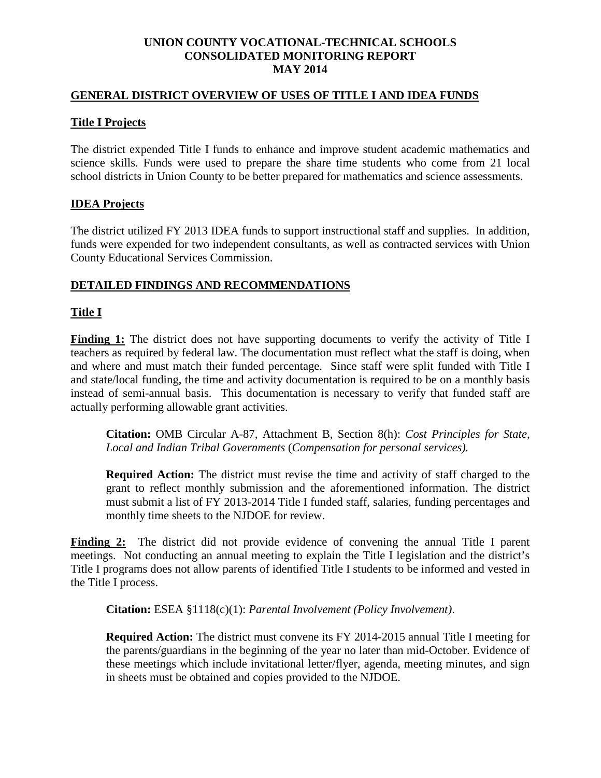#### **GENERAL DISTRICT OVERVIEW OF USES OF TITLE I AND IDEA FUNDS**

#### **Title I Projects**

The district expended Title I funds to enhance and improve student academic mathematics and science skills. Funds were used to prepare the share time students who come from 21 local school districts in Union County to be better prepared for mathematics and science assessments.

### **IDEA Projects**

The district utilized FY 2013 IDEA funds to support instructional staff and supplies. In addition, funds were expended for two independent consultants, as well as contracted services with Union County Educational Services Commission.

### **DETAILED FINDINGS AND RECOMMENDATIONS**

### **Title I**

**Finding 1:** The district does not have supporting documents to verify the activity of Title I teachers as required by federal law. The documentation must reflect what the staff is doing, when and where and must match their funded percentage. Since staff were split funded with Title I and state/local funding, the time and activity documentation is required to be on a monthly basis instead of semi-annual basis. This documentation is necessary to verify that funded staff are actually performing allowable grant activities.

**Citation:** OMB Circular A-87, Attachment B, Section 8(h): *Cost Principles for State, Local and Indian Tribal Governments* (*Compensation for personal services).* 

**Required Action:** The district must revise the time and activity of staff charged to the grant to reflect monthly submission and the aforementioned information. The district must submit a list of FY 2013-2014 Title I funded staff, salaries, funding percentages and monthly time sheets to the NJDOE for review.

**Finding 2:** The district did not provide evidence of convening the annual Title I parent meetings. Not conducting an annual meeting to explain the Title I legislation and the district's Title I programs does not allow parents of identified Title I students to be informed and vested in the Title I process.

**Citation:** ESEA §1118(c)(1): *Parental Involvement (Policy Involvement)*.

**Required Action:** The district must convene its FY 2014-2015 annual Title I meeting for the parents/guardians in the beginning of the year no later than mid-October. Evidence of these meetings which include invitational letter/flyer, agenda, meeting minutes, and sign in sheets must be obtained and copies provided to the NJDOE.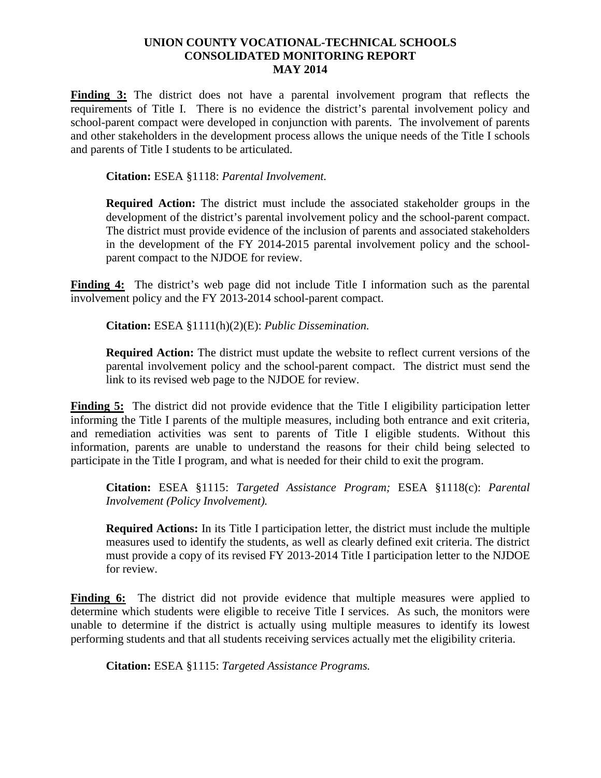**Finding 3:** The district does not have a parental involvement program that reflects the requirements of Title I. There is no evidence the district's parental involvement policy and school-parent compact were developed in conjunction with parents. The involvement of parents and other stakeholders in the development process allows the unique needs of the Title I schools and parents of Title I students to be articulated.

**Citation:** ESEA §1118: *Parental Involvement.*

**Required Action:** The district must include the associated stakeholder groups in the development of the district's parental involvement policy and the school-parent compact. The district must provide evidence of the inclusion of parents and associated stakeholders in the development of the FY 2014-2015 parental involvement policy and the schoolparent compact to the NJDOE for review.

**Finding 4:** The district's web page did not include Title I information such as the parental involvement policy and the FY 2013-2014 school-parent compact.

**Citation:** ESEA §1111(h)(2)(E): *Public Dissemination.*

**Required Action:** The district must update the website to reflect current versions of the parental involvement policy and the school-parent compact. The district must send the link to its revised web page to the NJDOE for review.

**Finding 5:** The district did not provide evidence that the Title I eligibility participation letter informing the Title I parents of the multiple measures, including both entrance and exit criteria, and remediation activities was sent to parents of Title I eligible students. Without this information, parents are unable to understand the reasons for their child being selected to participate in the Title I program, and what is needed for their child to exit the program.

**Citation:** ESEA §1115: *Targeted Assistance Program;* ESEA §1118(c): *Parental Involvement (Policy Involvement).* 

**Required Actions:** In its Title I participation letter, the district must include the multiple measures used to identify the students, as well as clearly defined exit criteria. The district must provide a copy of its revised FY 2013-2014 Title I participation letter to the NJDOE for review.

**Finding 6:** The district did not provide evidence that multiple measures were applied to determine which students were eligible to receive Title I services. As such, the monitors were unable to determine if the district is actually using multiple measures to identify its lowest performing students and that all students receiving services actually met the eligibility criteria.

**Citation:** ESEA §1115: *Targeted Assistance Programs.*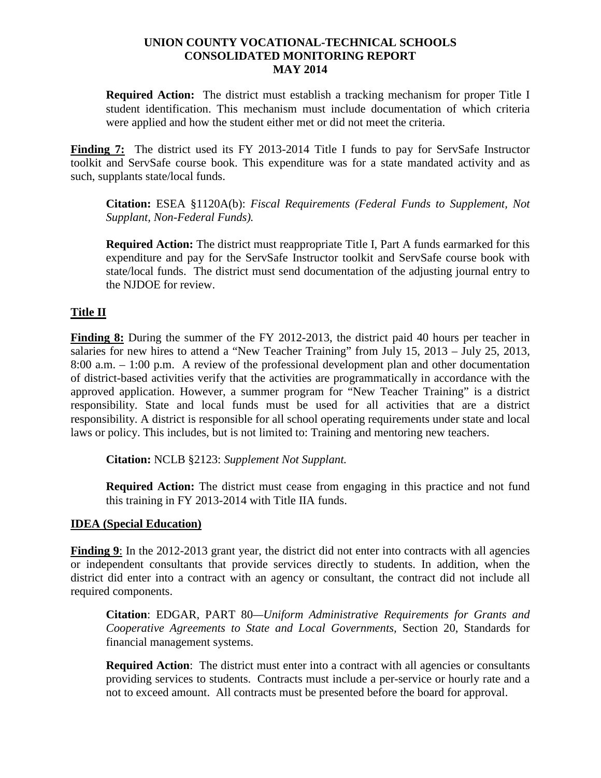**Required Action:** The district must establish a tracking mechanism for proper Title I student identification. This mechanism must include documentation of which criteria were applied and how the student either met or did not meet the criteria.

**Finding 7:** The district used its FY 2013-2014 Title I funds to pay for ServSafe Instructor toolkit and ServSafe course book. This expenditure was for a state mandated activity and as such, supplants state/local funds.

**Citation:** ESEA §1120A(b): *Fiscal Requirements (Federal Funds to Supplement, Not Supplant, Non-Federal Funds).* 

**Required Action:** The district must reappropriate Title I, Part A funds earmarked for this expenditure and pay for the ServSafe Instructor toolkit and ServSafe course book with state/local funds. The district must send documentation of the adjusting journal entry to the NJDOE for review.

## **Title II**

**Finding 8:** During the summer of the FY 2012-2013, the district paid 40 hours per teacher in salaries for new hires to attend a "New Teacher Training" from July 15, 2013 – July 25, 2013, 8:00 a.m. – 1:00 p.m. A review of the professional development plan and other documentation of district-based activities verify that the activities are programmatically in accordance with the approved application. However, a summer program for "New Teacher Training" is a district responsibility. State and local funds must be used for all activities that are a district responsibility. A district is responsible for all school operating requirements under state and local laws or policy. This includes, but is not limited to: Training and mentoring new teachers.

**Citation:** NCLB §2123: *Supplement Not Supplant.* 

**Required Action:** The district must cease from engaging in this practice and not fund this training in FY 2013-2014 with Title IIA funds.

## **IDEA (Special Education)**

**Finding 9**: In the 2012-2013 grant year, the district did not enter into contracts with all agencies or independent consultants that provide services directly to students. In addition, when the district did enter into a contract with an agency or consultant, the contract did not include all required components.

**Citation**: EDGAR, PART 80*—Uniform Administrative Requirements for Grants and Cooperative Agreements to State and Local Governments,* Section 20, Standards for financial management systems.

**Required Action**: The district must enter into a contract with all agencies or consultants providing services to students. Contracts must include a per-service or hourly rate and a not to exceed amount. All contracts must be presented before the board for approval.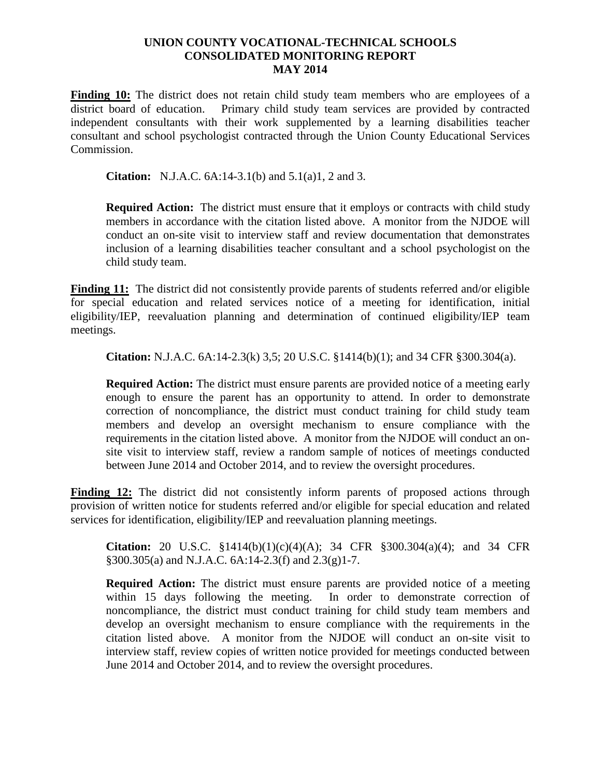Finding 10: The district does not retain child study team members who are employees of a district board of education. Primary child study team services are provided by contracted independent consultants with their work supplemented by a learning disabilities teacher consultant and school psychologist contracted through the Union County Educational Services Commission.

**Citation:** N.J.A.C. 6A:14-3.1(b) and 5.1(a)1, 2 and 3.

**Required Action:** The district must ensure that it employs or contracts with child study members in accordance with the citation listed above. A monitor from the NJDOE will conduct an on-site visit to interview staff and review documentation that demonstrates inclusion of a learning disabilities teacher consultant and a school psychologist on the child study team.

Finding 11: The district did not consistently provide parents of students referred and/or eligible for special education and related services notice of a meeting for identification, initial eligibility/IEP, reevaluation planning and determination of continued eligibility/IEP team meetings.

**Citation:** N.J.A.C. 6A:14-2.3(k) 3,5; 20 U.S.C. §1414(b)(1); and 34 CFR §300.304(a).

**Required Action:** The district must ensure parents are provided notice of a meeting early enough to ensure the parent has an opportunity to attend. In order to demonstrate correction of noncompliance, the district must conduct training for child study team members and develop an oversight mechanism to ensure compliance with the requirements in the citation listed above. A monitor from the NJDOE will conduct an onsite visit to interview staff, review a random sample of notices of meetings conducted between June 2014 and October 2014, and to review the oversight procedures.

**Finding 12:** The district did not consistently inform parents of proposed actions through provision of written notice for students referred and/or eligible for special education and related services for identification, eligibility/IEP and reevaluation planning meetings.

**Citation:** 20 U.S.C. §1414(b)(1)(c)(4)(A); 34 CFR §300.304(a)(4); and 34 CFR §300.305(a) and N.J.A.C. 6A:14-2.3(f) and 2.3(g)1-7.

**Required Action:** The district must ensure parents are provided notice of a meeting within 15 days following the meeting. In order to demonstrate correction of noncompliance, the district must conduct training for child study team members and develop an oversight mechanism to ensure compliance with the requirements in the citation listed above. A monitor from the NJDOE will conduct an on-site visit to interview staff, review copies of written notice provided for meetings conducted between June 2014 and October 2014, and to review the oversight procedures.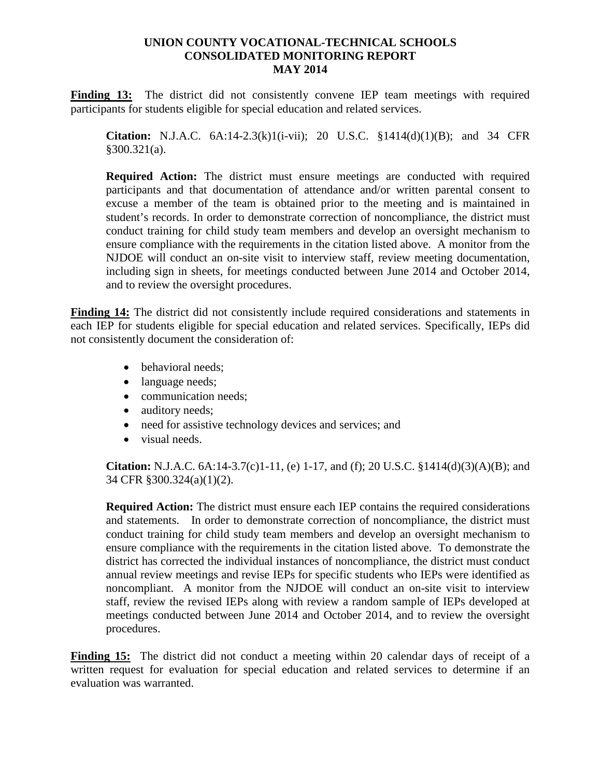Finding 13: The district did not consistently convene IEP team meetings with required participants for students eligible for special education and related services.

**Citation:** N.J.A.C. 6A:14-2.3(k)1(i-vii); 20 U.S.C. §1414(d)(1)(B); and 34 CFR §300.321(a).

**Required Action:** The district must ensure meetings are conducted with required participants and that documentation of attendance and/or written parental consent to excuse a member of the team is obtained prior to the meeting and is maintained in student's records. In order to demonstrate correction of noncompliance, the district must conduct training for child study team members and develop an oversight mechanism to ensure compliance with the requirements in the citation listed above. A monitor from the NJDOE will conduct an on-site visit to interview staff, review meeting documentation, including sign in sheets, for meetings conducted between June 2014 and October 2014, and to review the oversight procedures.

**Finding 14:** The district did not consistently include required considerations and statements in each IEP for students eligible for special education and related services. Specifically, IEPs did not consistently document the consideration of:

- behavioral needs;
- language needs;
- communication needs;
- auditory needs;
- need for assistive technology devices and services; and
- visual needs.

**Citation:** N.J.A.C. 6A:14-3.7(c)1-11, (e) 1-17, and (f); 20 U.S.C. §1414(d)(3)(A)(B); and 34 CFR §300.324(a)(1)(2).

**Required Action:** The district must ensure each IEP contains the required considerations and statements. In order to demonstrate correction of noncompliance, the district must conduct training for child study team members and develop an oversight mechanism to ensure compliance with the requirements in the citation listed above. To demonstrate the district has corrected the individual instances of noncompliance, the district must conduct annual review meetings and revise IEPs for specific students who IEPs were identified as noncompliant. A monitor from the NJDOE will conduct an on-site visit to interview staff, review the revised IEPs along with review a random sample of IEPs developed at meetings conducted between June 2014 and October 2014, and to review the oversight procedures.

**Finding 15:** The district did not conduct a meeting within 20 calendar days of receipt of a written request for evaluation for special education and related services to determine if an evaluation was warranted.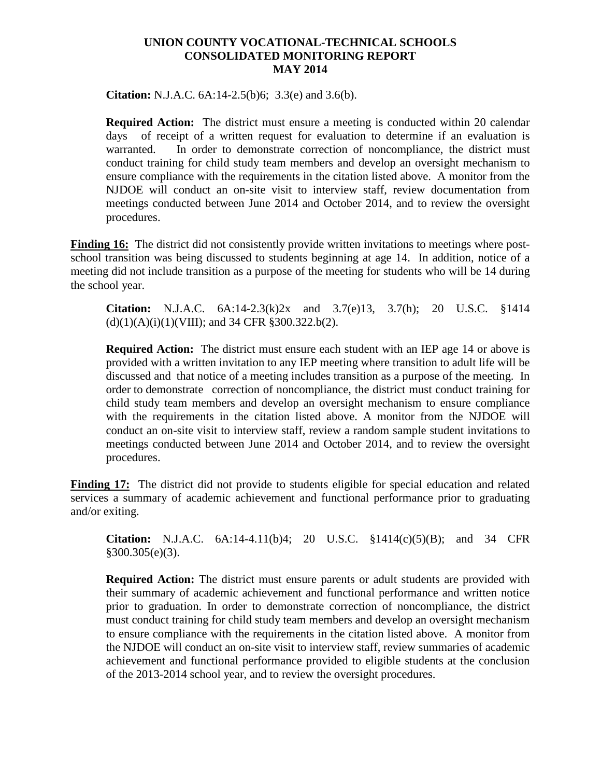**Citation:** N.J.A.C. 6A:14-2.5(b)6; 3.3(e) and 3.6(b).

**Required Action:** The district must ensure a meeting is conducted within 20 calendar days of receipt of a written request for evaluation to determine if an evaluation is warranted. In order to demonstrate correction of noncompliance, the district must conduct training for child study team members and develop an oversight mechanism to ensure compliance with the requirements in the citation listed above. A monitor from the NJDOE will conduct an on-site visit to interview staff, review documentation from meetings conducted between June 2014 and October 2014, and to review the oversight procedures.

**Finding 16:** The district did not consistently provide written invitations to meetings where postschool transition was being discussed to students beginning at age 14. In addition, notice of a meeting did not include transition as a purpose of the meeting for students who will be 14 during the school year.

**Citation:** N.J.A.C. 6A:14-2.3(k)2x and 3.7(e)13, 3.7(h); 20 U.S.C. §1414  $(d)(1)(A)(i)(1)(VIII)$ ; and 34 CFR §300.322.b(2).

**Required Action:** The district must ensure each student with an IEP age 14 or above is provided with a written invitation to any IEP meeting where transition to adult life will be discussed and that notice of a meeting includes transition as a purpose of the meeting. In order to demonstrate correction of noncompliance, the district must conduct training for child study team members and develop an oversight mechanism to ensure compliance with the requirements in the citation listed above. A monitor from the NJDOE will conduct an on-site visit to interview staff, review a random sample student invitations to meetings conducted between June 2014 and October 2014, and to review the oversight procedures.

**Finding 17:** The district did not provide to students eligible for special education and related services a summary of academic achievement and functional performance prior to graduating and/or exiting.

**Citation:** N.J.A.C. 6A:14-4.11(b)4; 20 U.S.C. §1414(c)(5)(B); and 34 CFR §300.305(e)(3).

**Required Action:** The district must ensure parents or adult students are provided with their summary of academic achievement and functional performance and written notice prior to graduation. In order to demonstrate correction of noncompliance, the district must conduct training for child study team members and develop an oversight mechanism to ensure compliance with the requirements in the citation listed above. A monitor from the NJDOE will conduct an on-site visit to interview staff, review summaries of academic achievement and functional performance provided to eligible students at the conclusion of the 2013-2014 school year, and to review the oversight procedures.